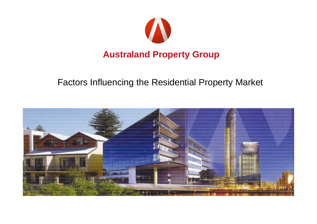

#### Factors Influencing the Residential Property Market

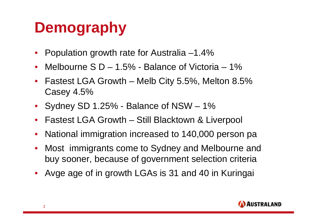# **Demography**

- •Population growth rate for Australia –1.4%
- $\bullet$ Melbourne  $S$  D – 1.5% - Balance of Victoria – 1%
- $\bullet$  Fastest LGA Growth – Melb City 5.5%, Melton 8.5% Casey 4.5%
- Sydney SD 1.25% Balance of NSW 1%
- $\bullet$ Fastest LGA Growth – Still Blacktown & Liverpool
- $\bullet$ National immigration increased to 140,000 person pa
- • Most immigrants come to Sydney and Melbourne and buy sooner, because of government selection criteria
- •Avge age of in growth LGAs is 31 and 40 in Kuringai

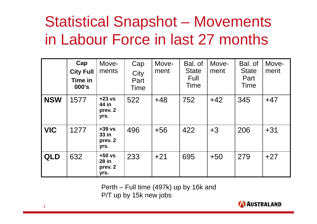# Statistical Snapshot – Movements in Labour Force in last 27 months

|            | Cap<br><b>City Full</b><br>Time in<br>000's | Move-<br>ments                       | Cap<br>City<br>Part<br>Time | Move-<br>ment | Bal. of<br><b>State</b><br>Full<br>Time | Move-<br>ment | Bal. of<br><b>State</b><br>Part<br>Time | Move-<br>ment |
|------------|---------------------------------------------|--------------------------------------|-----------------------------|---------------|-----------------------------------------|---------------|-----------------------------------------|---------------|
| <b>NSW</b> | 1577                                        | $+23$ vs<br>44 in<br>prev. 2<br>yrs. | 522                         | $+48$         | 752                                     | $+42$         | 345                                     | $+47$         |
| <b>VIC</b> | 1277                                        | $+39$ vs<br>33 in<br>prev. 2<br>yrs. | 496                         | $+56$         | 422                                     | $+3$          | 206                                     | $+31$         |
| <b>QLD</b> | 632                                         | $+50$ vs<br>28 in<br>prev. 2<br>yrs. | 233                         | $+21$         | 695                                     | $+50$         | 279                                     | $+27$         |

Perth – Full time (497k) up by 16k and P/T up by 15k new jobs

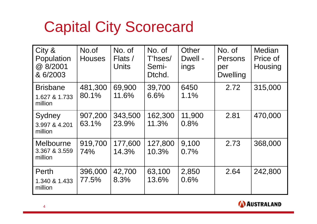### Capital City Scorecard

| City &<br>Population<br>@ 8/2001<br>& 6/2003 | No.of<br><b>Houses</b> | No. of<br>Flats /<br><b>Units</b> | No. of<br>T'hses/<br>Semi-<br>Dtchd. | Other<br>Dwell -<br>ings | No. of<br>Persons<br>per<br><b>Dwelling</b> | <b>Median</b><br>Price of<br>Housing |
|----------------------------------------------|------------------------|-----------------------------------|--------------------------------------|--------------------------|---------------------------------------------|--------------------------------------|
| <b>Brisbane</b><br>1.627 & 1.733<br>million  | 481,300<br>80.1%       | 69,900<br>11.6%                   | 39,700<br>6.6%                       | 6450<br>1.1%             | 2.72                                        | 315,000                              |
| Sydney<br>3.997 & 4.201<br>million           | 907,200<br>63.1%       | 343,500<br>23.9%                  | 162,300<br>11.3%                     | 11,900<br>0.8%           | 2.81                                        | 470,000                              |
| Melbourne<br>3.367 & 3.559<br>million        | 919,700<br>74%         | 177,600<br>14.3%                  | 127,800<br>10.3%                     | 9,100<br>0.7%            | 2.73                                        | 368,000                              |
| Perth<br>1.340 & 1.433<br>million            | 396,000<br>77.5%       | 42,700<br>8.3%                    | 63,100<br>13.6%                      | 2,850<br>0.6%            | 2.64                                        | 242,800                              |

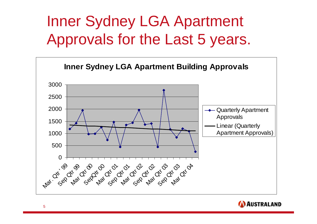# Inner Sydney LGA Apartment Approvals for the Last 5 years.



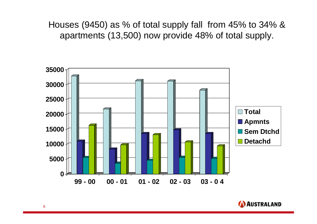Houses (9450) as % of total supply fall from 45% to 34% & apartments (13,500) now provide 48% of total supply.



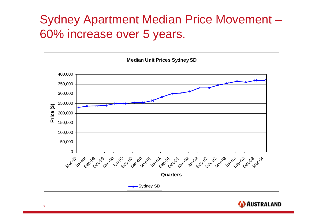#### Sydney Apartment Median Price Movement – 60% increase over 5 years.



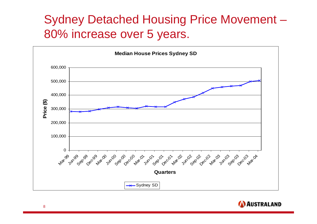#### Sydney Detached Housing Price Movement – 80% increase over 5 years.



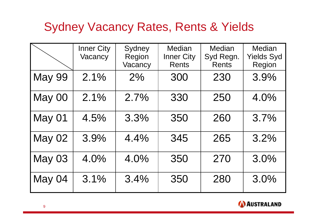#### Sydney Vacancy Rates, Rents & Yields

|               | <b>Inner City</b><br>Vacancy | Sydney<br>Region<br>Vacancy | Median<br><b>Inner City</b><br><b>Rents</b> | <b>Median</b><br>Syd Regn.<br><b>Rents</b> | <b>Median</b><br><b>Yields Syd</b><br>Region |
|---------------|------------------------------|-----------------------------|---------------------------------------------|--------------------------------------------|----------------------------------------------|
| <b>May 99</b> | 2.1%                         | 2%                          | 300                                         | 230                                        | 3.9%                                         |
| May 00        | 2.1%                         | 2.7%                        | 330                                         | 250                                        | 4.0%                                         |
| May 01        | 4.5%                         | 3.3%                        | 350                                         | 260                                        | 3.7%                                         |
| <b>May 02</b> | 3.9%                         | 4.4%                        | 345                                         | 265                                        | 3.2%                                         |
| <b>May 03</b> | 4.0%                         | 4.0%                        | 350                                         | 270                                        | 3.0%                                         |
| May 04        | 3.1%                         | 3.4%                        | 350                                         | 280                                        | 3.0%                                         |

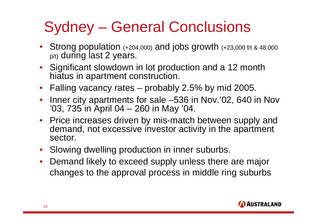# Sydney – General Conclusions

- Strong population (+204,000) and jobs growth (+23,000 f/t & 48,000 p/t) during last 2 years.
- Significant slowdown in lot production and a 12 month hiatus in apartment construction.
- Falling vacancy rates probably 2.5% by mid 2005.
- • Inner city apartments for sale –536 in Nov.'02, 640 in Nov '03, 735 in April 04 – 260 in May '04.
- Price increases driven by mis-match between supply and demand, not excessive investor activity in the apartment sector.
- Slowing dwelling production in inner suburbs.
- Demand likely to exceed supply unless there are major changes to the approval process in middle ring suburbs

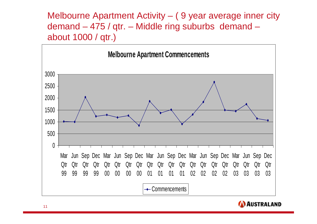Melbourne Apartment Activity – ( 9 year average inner city demand – 475 / qtr. – Middle ring suburbs demand – about 1000 / qtr.)



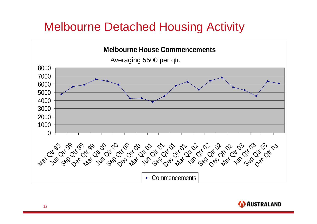#### Melbourne Detached Housing Activity

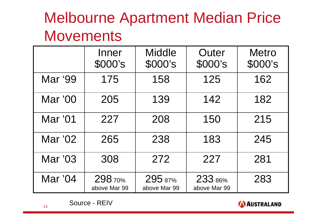# Melbourne Apartment Median Price **Movements**

|         | Inner<br>\$000's       | <b>Middle</b><br>\$000's | Outer<br>\$000's        | <b>Metro</b><br>\$000's |
|---------|------------------------|--------------------------|-------------------------|-------------------------|
| Mar '99 | 175                    | 158                      | 125                     | 162                     |
| Mar '00 | 205                    | 139                      | 142                     | 182                     |
| Mar '01 | 227                    | 208                      | 150                     | 215                     |
| Mar '02 | 265                    | 238                      | 183                     | 245                     |
| Mar '03 | 308                    | 272                      | 227                     | 281                     |
| Mar '04 | 29870%<br>above Mar 99 | 295 87%<br>above Mar 99  | 233 86%<br>above Mar 99 | 283                     |

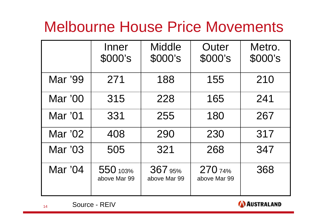### Melbourne House Price Movements

|         | Inner<br>\$000's         | <b>Middle</b><br>\$000's | Outer<br>\$000's        | Metro.<br>\$000's |
|---------|--------------------------|--------------------------|-------------------------|-------------------|
| Mar '99 | 271                      | 188                      | 155                     | 210               |
| Mar '00 | 315                      | 228                      | 165                     | 241               |
| Mar '01 | 331                      | 255                      | 180                     | 267               |
| Mar '02 | 408                      | 290                      | 230                     | 317               |
| Mar '03 | 505                      | 321                      | 268                     | 347               |
| Mar '04 | 550 103%<br>above Mar 99 | 367 95%<br>above Mar 99  | 270 74%<br>above Mar 99 | 368               |





14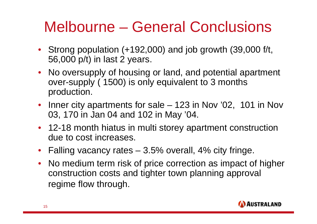### Melbourne – General Conclusions

- Strong population (+192,000) and job growth (39,000 f/t, 56,000 p/t) in last 2 years.
- No oversupply of housing or land, and potential apartment over-supply ( 1500) is only equivalent to 3 months production.
- Inner city apartments for sale 123 in Nov '02, 101 in Nov 03, 170 in Jan 04 and 102 in May '04.
- 12-18 month hiatus in multi storey apartment construction due to cost increases.
- Falling vacancy rates 3.5% overall, 4% city fringe.
- No medium term risk of price correction as impact of higher construction costs and tighter town planning approval regime flow through.

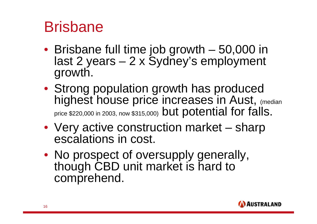#### Brisbane

- Brisbane full time job growth 50,000 in last 2 years – 2 x Sydney's employment growth.
- Strong population growth has produced highest house price increases in Aust, (median price \$220,000 in 2003, now \$315,000) but potential for falls.
- Very active construction market sharp escalations in cost.
- No prospect of oversupply generally, though CBD unit market is hard to comprehend.

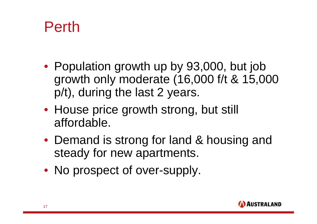### Perth

- Population growth up by 93,000, but job growth only moderate (16,000 f/t & 15,000 p/t), during the last 2 years.
- House price growth strong, but still affordable.
- Demand is strong for land & housing and steady for new apartments.
- No prospect of over-supply.